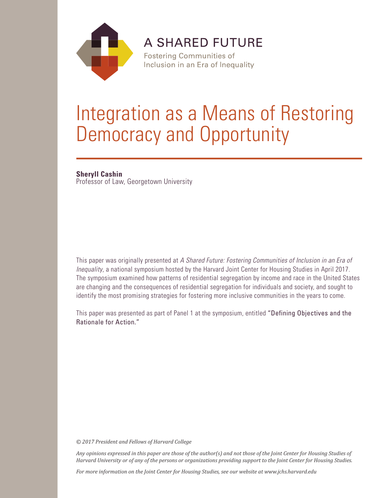

**A SHARED FUTURE** 

**Fostering Communities of** Inclusion in an Era of Inequality

# Integration as a Means of Restoring Democracy and Opportunity

# **Sheryll Cashin**

Professor of Law, Georgetown University

This paper was originally presented at *A Shared Future: Fostering Communities of Inclusion in an Era of Inequality*, a national symposium hosted by the Harvard Joint Center for Housing Studies in April 2017. The symposium examined how patterns of residential segregation by income and race in the United States are changing and the consequences of residential segregation for individuals and society, and sought to identify the most promising strategies for fostering more inclusive communities in the years to come.

This paper was presented as part of Panel 1 at the symposium, entitled "Defining Objectives and the Rationale for Action."

*© 2017 President and Fellows of Harvard College*

*Any opinions expressed in this paper are those of the author(s) and not those of the Joint Center for Housing Studies of Harvard University or of any of the persons or organizations providing support to the Joint Center for Housing Studies.* 

*For more information on the Joint Center for Housing Studies, see our website at www.jchs.harvard.edu*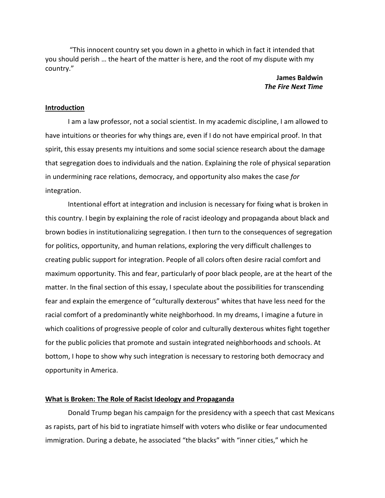"This innocent country set you down in a ghetto in which in fact it intended that you should perish … the heart of the matter is here, and the root of my dispute with my country."

> **James Baldwin** *The Fire Next Time*

#### **Introduction**

I am a law professor, not a social scientist. In my academic discipline, I am allowed to have intuitions or theories for why things are, even if I do not have empirical proof. In that spirit, this essay presents my intuitions and some social science research about the damage that segregation does to individuals and the nation. Explaining the role of physical separation in undermining race relations, democracy, and opportunity also makes the case *for* integration.

Intentional effort at integration and inclusion is necessary for fixing what is broken in this country. I begin by explaining the role of racist ideology and propaganda about black and brown bodies in institutionalizing segregation. I then turn to the consequences of segregation for politics, opportunity, and human relations, exploring the very difficult challenges to creating public support for integration. People of all colors often desire racial comfort and maximum opportunity. This and fear, particularly of poor black people, are at the heart of the matter. In the final section of this essay, I speculate about the possibilities for transcending fear and explain the emergence of "culturally dexterous" whites that have less need for the racial comfort of a predominantly white neighborhood. In my dreams, I imagine a future in which coalitions of progressive people of color and culturally dexterous whites fight together for the public policies that promote and sustain integrated neighborhoods and schools. At bottom, I hope to show why such integration is necessary to restoring both democracy and opportunity in America.

## **What is Broken: The Role of Racist Ideology and Propaganda**

Donald Trump began his campaign for the presidency with a speech that cast Mexicans as rapists, part of his bid to ingratiate himself with voters who dislike or fear undocumented immigration. During a debate, he associated "the blacks" with "inner cities," which he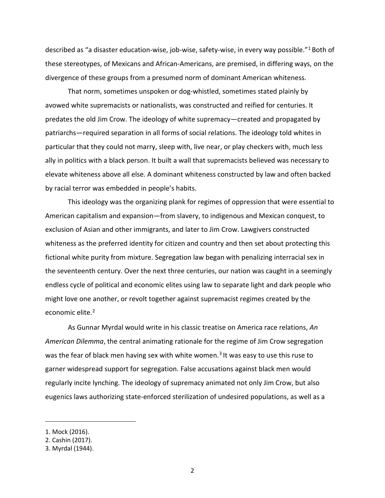described as "a disaster education-wise, job-wise, safety-wise, in every way possible."[1](#page-3-0) Both of these stereotypes, of Mexicans and African-Americans, are premised, in differing ways, on the divergence of these groups from a presumed norm of dominant American whiteness.

That norm, sometimes unspoken or dog-whistled, sometimes stated plainly by avowed white supremacists or nationalists, was constructed and reified for centuries. It predates the old Jim Crow. The ideology of white supremacy—created and propagated by patriarchs—required separation in all forms of social relations. The ideology told whites in particular that they could not marry, sleep with, live near, or play checkers with, much less ally in politics with a black person. It built a wall that supremacists believed was necessary to elevate whiteness above all else. A dominant whiteness constructed by law and often backed by racial terror was embedded in people's habits.

This ideology was the organizing plank for regimes of oppression that were essential to American capitalism and expansion—from slavery, to indigenous and Mexican conquest, to exclusion of Asian and other immigrants, and later to Jim Crow. Lawgivers constructed whiteness as the preferred identity for citizen and country and then set about protecting this fictional white purity from mixture. Segregation law began with penalizing interracial sex in the seventeenth century. Over the next three centuries, our nation was caught in a seemingly endless cycle of political and economic elites using law to separate light and dark people who might love one another, or revolt together against supremacist regimes created by the economic elite.<sup>[2](#page-3-1)</sup>

As Gunnar Myrdal would write in his classic treatise on America race relations, *An American Dilemma*, the central animating rationale for the regime of Jim Crow segregation was the fear of black men having sex with white women.<sup>[3](#page-3-2)</sup> It was easy to use this ruse to garner widespread support for segregation. False accusations against black men would regularly incite lynching. The ideology of supremacy animated not only Jim Crow, but also eugenics laws authorizing state-enforced sterilization of undesired populations, as well as a

<span id="page-3-0"></span><sup>1.</sup> Mock (2016).

<span id="page-3-1"></span><sup>2.</sup> Cashin (2017).

<span id="page-3-2"></span><sup>3.</sup> Myrdal (1944).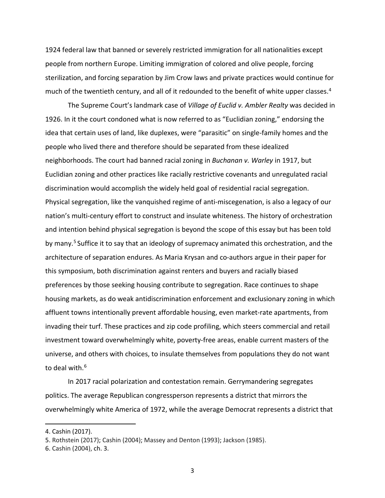1924 federal law that banned or severely restricted immigration for all nationalities except people from northern Europe. Limiting immigration of colored and olive people, forcing sterilization, and forcing separation by Jim Crow laws and private practices would continue for much of the twentieth century, and all of it redounded to the benefit of white upper classes.<sup>[4](#page-4-0)</sup>

The Supreme Court's landmark case of *Village of Euclid v. Ambler Realty* was decided in 1926. In it the court condoned what is now referred to as "Euclidian zoning," endorsing the idea that certain uses of land, like duplexes, were "parasitic" on single-family homes and the people who lived there and therefore should be separated from these idealized neighborhoods. The court had banned racial zoning in *Buchanan v. Warley* in 1917, but Euclidian zoning and other practices like racially restrictive covenants and unregulated racial discrimination would accomplish the widely held goal of residential racial segregation. Physical segregation, like the vanquished regime of anti-miscegenation, is also a legacy of our nation's multi-century effort to construct and insulate whiteness. The history of orchestration and intention behind physical segregation is beyond the scope of this essay but has been told by many.<sup>[5](#page-4-1)</sup> Suffice it to say that an ideology of supremacy animated this orchestration, and the architecture of separation endures. As Maria Krysan and co-authors argue in their paper for this symposium, both discrimination against renters and buyers and racially biased preferences by those seeking housing contribute to segregation. Race continues to shape housing markets, as do weak antidiscrimination enforcement and exclusionary zoning in which affluent towns intentionally prevent affordable housing, even market-rate apartments, from invading their turf. These practices and zip code profiling, which steers commercial and retail investment toward overwhelmingly white, poverty-free areas, enable current masters of the universe, and others with choices, to insulate themselves from populations they do not want to deal with.<sup>[6](#page-4-2)</sup>

In 2017 racial polarization and contestation remain. Gerrymandering segregates politics. The average Republican congressperson represents a district that mirrors the overwhelmingly white America of 1972, while the average Democrat represents a district that

<span id="page-4-0"></span><sup>4.</sup> Cashin (2017).

<span id="page-4-1"></span><sup>5.</sup> Rothstein (2017); Cashin (2004); Massey and Denton (1993); Jackson (1985).

<span id="page-4-2"></span><sup>6.</sup> Cashin (2004), ch. 3.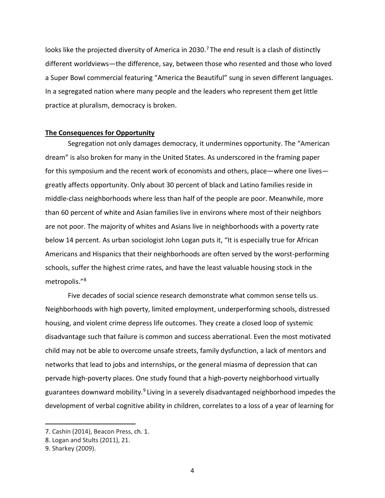looks like the projected diversity of America in 2030.<sup>[7](#page-5-0)</sup> The end result is a clash of distinctly different worldviews—the difference, say, between those who resented and those who loved a Super Bowl commercial featuring "America the Beautiful" sung in seven different languages. In a segregated nation where many people and the leaders who represent them get little practice at pluralism, democracy is broken.

#### **The Consequences for Opportunity**

Segregation not only damages democracy, it undermines opportunity. The "American dream" is also broken for many in the United States. As underscored in the framing paper for this symposium and the recent work of economists and others, place—where one lives greatly affects opportunity. Only about 30 percent of black and Latino families reside in middle-class neighborhoods where less than half of the people are poor. Meanwhile, more than 60 percent of white and Asian families live in environs where most of their neighbors are not poor. The majority of whites and Asians live in neighborhoods with a poverty rate below 14 percent. As urban sociologist John Logan puts it, "It is especially true for African Americans and Hispanics that their neighborhoods are often served by the worst-performing schools, suffer the highest crime rates, and have the least valuable housing stock in the metropolis.["8](#page-5-1)

Five decades of social science research demonstrate what common sense tells us. Neighborhoods with high poverty, limited employment, underperforming schools, distressed housing, and violent crime depress life outcomes. They create a closed loop of systemic disadvantage such that failure is common and success aberrational. Even the most motivated child may not be able to overcome unsafe streets, family dysfunction, a lack of mentors and networks that lead to jobs and internships, or the general miasma of depression that can pervade high-poverty places. One study found that a high-poverty neighborhood virtually guarantees downward mobility.<sup>[9](#page-5-2)</sup> Living in a severely disadvantaged neighborhood impedes the development of verbal cognitive ability in children, correlates to a loss of a year of learning for

<span id="page-5-0"></span><sup>7.</sup> Cashin (2014), Beacon Press, ch. 1.

<span id="page-5-1"></span><sup>8.</sup> Logan and Stults (2011), 21.

<span id="page-5-2"></span><sup>9.</sup> Sharkey (2009).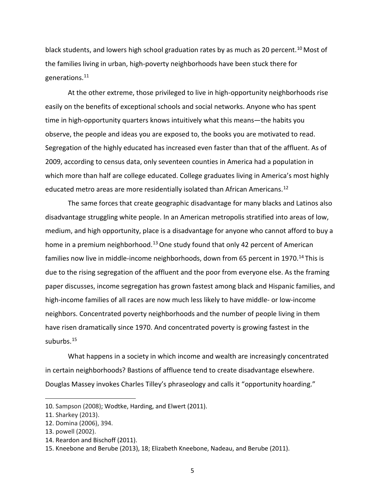black students, and lowers high school graduation rates by as much as 20 percent.<sup>[10](#page-6-0)</sup> Most of the families living in urban, high-poverty neighborhoods have been stuck there for generations[.11](#page-6-1)

At the other extreme, those privileged to live in high-opportunity neighborhoods rise easily on the benefits of exceptional schools and social networks. Anyone who has spent time in high-opportunity quarters knows intuitively what this means—the habits you observe, the people and ideas you are exposed to, the books you are motivated to read. Segregation of the highly educated has increased even faster than that of the affluent. As of 2009, according to census data, only seventeen counties in America had a population in which more than half are college educated. College graduates living in America's most highly educated metro areas are more residentially isolated than African Americans.<sup>[12](#page-6-2)</sup>

The same forces that create geographic disadvantage for many blacks and Latinos also disadvantage struggling white people. In an American metropolis stratified into areas of low, medium, and high opportunity, place is a disadvantage for anyone who cannot afford to buy a home in a premium neighborhood.<sup>[13](#page-6-3)</sup> One study found that only 42 percent of American families now live in middle-income neighborhoods, down from 65 percent in 1970.<sup>[14](#page-6-4)</sup> This is due to the rising segregation of the affluent and the poor from everyone else. As the framing paper discusses, income segregation has grown fastest among black and Hispanic families, and high-income families of all races are now much less likely to have middle- or low-income neighbors. Concentrated poverty neighborhoods and the number of people living in them have risen dramatically since 1970. And concentrated poverty is growing fastest in the suburbs.<sup>[15](#page-6-5)</sup>

What happens in a society in which income and wealth are increasingly concentrated in certain neighborhoods? Bastions of affluence tend to create disadvantage elsewhere. Douglas Massey invokes Charles Tilley's phraseology and calls it "opportunity hoarding."

<span id="page-6-0"></span><sup>10.</sup> Sampson (2008); Wodtke, Harding, and Elwert (2011).

<span id="page-6-1"></span><sup>11.</sup> Sharkey (2013).

<span id="page-6-2"></span><sup>12.</sup> Domina (2006), 394.

<span id="page-6-3"></span><sup>13.</sup> powell (2002).

<span id="page-6-4"></span><sup>14.</sup> Reardon and Bischoff (2011).

<span id="page-6-5"></span><sup>15.</sup> Kneebone and Berube (2013), 18; Elizabeth Kneebone, Nadeau, and Berube (2011).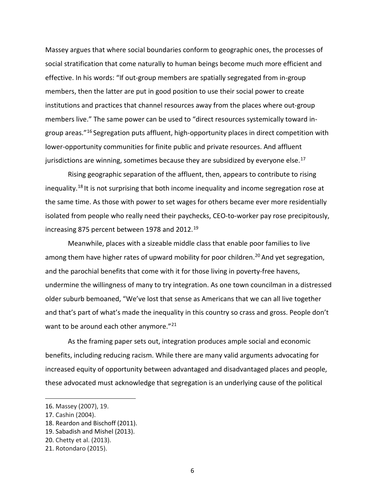Massey argues that where social boundaries conform to geographic ones, the processes of social stratification that come naturally to human beings become much more efficient and effective. In his words: "If out-group members are spatially segregated from in-group members, then the latter are put in good position to use their social power to create institutions and practices that channel resources away from the places where out-group members live." The same power can be used to "direct resources systemically toward ingroup areas."[16](#page-7-0) Segregation puts affluent, high-opportunity places in direct competition with lower-opportunity communities for finite public and private resources. And affluent jurisdictions are winning, sometimes because they are subsidized by everyone else.<sup>[17](#page-7-1)</sup>

Rising geographic separation of the affluent, then, appears to contribute to rising inequality.<sup>[18](#page-7-2)</sup> It is not surprising that both income inequality and income segregation rose at the same time. As those with power to set wages for others became ever more residentially isolated from people who really need their paychecks, CEO-to-worker pay rose precipitously, increasing 875 percent between [19](#page-7-3)78 and 2012.<sup>19</sup>

Meanwhile, places with a sizeable middle class that enable poor families to live among them have higher rates of upward mobility for poor children.<sup>[20](#page-7-4)</sup> And yet segregation, and the parochial benefits that come with it for those living in poverty-free havens, undermine the willingness of many to try integration. As one town councilman in a distressed older suburb bemoaned, "We've lost that sense as Americans that we can all live together and that's part of what's made the inequality in this country so crass and gross. People don't want to be around each other anymore."<sup>[21](#page-7-5)</sup>

As the framing paper sets out, integration produces ample social and economic benefits, including reducing racism. While there are many valid arguments advocating for increased equity of opportunity between advantaged and disadvantaged places and people, these advocated must acknowledge that segregation is an underlying cause of the political

<span id="page-7-0"></span><sup>16.</sup> Massey (2007), 19.

<span id="page-7-1"></span><sup>17.</sup> Cashin (2004).

<span id="page-7-2"></span><sup>18.</sup> Reardon and Bischoff (2011).

<span id="page-7-3"></span><sup>19.</sup> Sabadish and Mishel (2013).

<span id="page-7-4"></span><sup>20.</sup> Chetty et al. (2013).

<span id="page-7-5"></span><sup>21.</sup> Rotondaro (2015).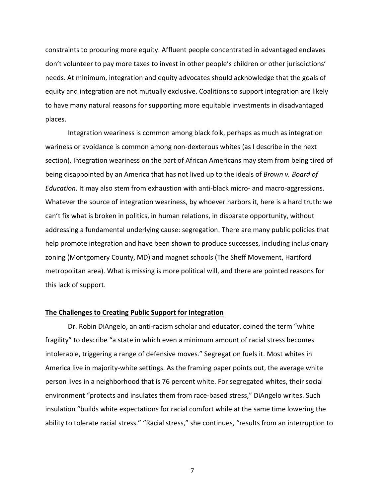constraints to procuring more equity. Affluent people concentrated in advantaged enclaves don't volunteer to pay more taxes to invest in other people's children or other jurisdictions' needs. At minimum, integration and equity advocates should acknowledge that the goals of equity and integration are not mutually exclusive. Coalitions to support integration are likely to have many natural reasons for supporting more equitable investments in disadvantaged places.

Integration weariness is common among black folk, perhaps as much as integration wariness or avoidance is common among non-dexterous whites (as I describe in the next section). Integration weariness on the part of African Americans may stem from being tired of being disappointed by an America that has not lived up to the ideals of *Brown v. Board of Education*. It may also stem from exhaustion with anti-black micro- and macro-aggressions. Whatever the source of integration weariness, by whoever harbors it, here is a hard truth: we can't fix what is broken in politics, in human relations, in disparate opportunity, without addressing a fundamental underlying cause: segregation. There are many public policies that help promote integration and have been shown to produce successes, including inclusionary zoning (Montgomery County, MD) and magnet schools (The Sheff Movement, Hartford metropolitan area). What is missing is more political will, and there are pointed reasons for this lack of support.

## **The Challenges to Creating Public Support for Integration**

Dr. Robin DiAngelo, an anti-racism scholar and educator, coined the term "white fragility" to describe "a state in which even a minimum amount of racial stress becomes intolerable, triggering a range of defensive moves." Segregation fuels it. Most whites in America live in majority-white settings. As the framing paper points out, the average white person lives in a neighborhood that is 76 percent white. For segregated whites, their social environment "protects and insulates them from race-based stress," DiAngelo writes. Such insulation "builds white expectations for racial comfort while at the same time lowering the ability to tolerate racial stress." "Racial stress," she continues, "results from an interruption to

7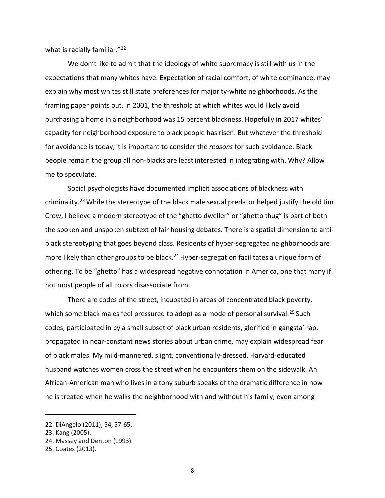what is racially familiar."<sup>[22](#page-9-0)</sup>

We don't like to admit that the ideology of white supremacy is still with us in the expectations that many whites have. Expectation of racial comfort, of white dominance, may explain why most whites still state preferences for majority-white neighborhoods. As the framing paper points out, in 2001, the threshold at which whites would likely avoid purchasing a home in a neighborhood was 15 percent blackness. Hopefully in 2017 whites' capacity for neighborhood exposure to black people has risen. But whatever the threshold for avoidance is today, it is important to consider the *reasons* for such avoidance. Black people remain the group all non-blacks are least interested in integrating with. Why? Allow me to speculate.

Social psychologists have documented implicit associations of blackness with criminality.[23](#page-9-1) While the stereotype of the black male sexual predator helped justify the old Jim Crow, I believe a modern stereotype of the "ghetto dweller" or "ghetto thug" is part of both the spoken and unspoken subtext of fair housing debates. There is a spatial dimension to antiblack stereotyping that goes beyond class. Residents of hyper-segregated neighborhoods are more likely than other groups to be black.<sup>[24](#page-9-2)</sup> Hyper-segregation facilitates a unique form of othering. To be "ghetto" has a widespread negative connotation in America, one that many if not most people of all colors disassociate from.

There are codes of the street, incubated in areas of concentrated black poverty, which some black males feel pressured to adopt as a mode of personal survival.<sup>[25](#page-9-3)</sup> Such codes, participated in by a small subset of black urban residents, glorified in gangsta' rap, propagated in near-constant news stories about urban crime, may explain widespread fear of black males. My mild-mannered, slight, conventionally-dressed, Harvard-educated husband watches women cross the street when he encounters them on the sidewalk. An African-American man who lives in a tony suburb speaks of the dramatic difference in how he is treated when he walks the neighborhood with and without his family, even among

<span id="page-9-0"></span><sup>22.</sup> DiAngelo (2011), 54, 57-65.

<span id="page-9-1"></span><sup>23.</sup> Kang (2005).

<span id="page-9-2"></span><sup>24.</sup> Massey and Denton (1993).

<span id="page-9-3"></span><sup>25.</sup> Coates (2013).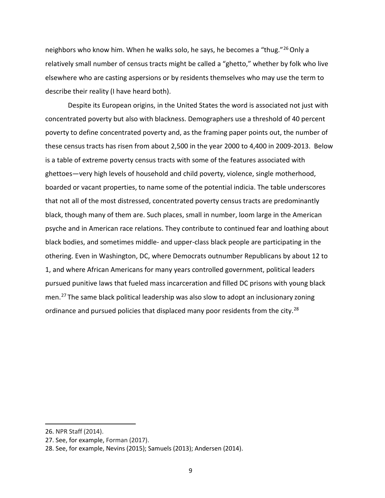neighbors who know him. When he walks solo, he says, he becomes a "thug."<sup>[26](#page-10-0)</sup> Only a relatively small number of census tracts might be called a "ghetto," whether by folk who live elsewhere who are casting aspersions or by residents themselves who may use the term to describe their reality (I have heard both).

Despite its European origins, in the United States the word is associated not just with concentrated poverty but also with blackness. Demographers use a threshold of 40 percent poverty to define concentrated poverty and, as the framing paper points out, the number of these census tracts has risen from about 2,500 in the year 2000 to 4,400 in 2009-2013. Below is a table of extreme poverty census tracts with some of the features associated with ghettoes—very high levels of household and child poverty, violence, single motherhood, boarded or vacant properties, to name some of the potential indicia. The table underscores that not all of the most distressed, concentrated poverty census tracts are predominantly black, though many of them are. Such places, small in number, loom large in the American psyche and in American race relations. They contribute to continued fear and loathing about black bodies, and sometimes middle- and upper-class black people are participating in the othering. Even in Washington, DC, where Democrats outnumber Republicans by about 12 to 1, and where African Americans for many years controlled government, political leaders pursued punitive laws that fueled mass incarceration and filled DC prisons with young black men.[27](#page-10-1) The same black political leadership was also slow to adopt an inclusionary zoning ordinance and pursued policies that displaced many poor residents from the city.<sup>[28](#page-10-2)</sup>

<span id="page-10-0"></span><sup>26.</sup> NPR Staff (2014).

<span id="page-10-1"></span><sup>27.</sup> See, for example, Forman (2017).

<span id="page-10-2"></span><sup>28.</sup> See, for example, Nevins (2015); Samuels (2013); Andersen (2014).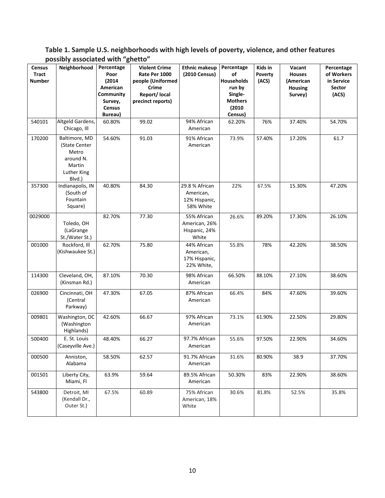| <b>Census</b><br><b>Tract</b><br><b>Number</b><br>540101 | Neighborhood<br>Altgeld Gardens,<br>Chicago, Ill                                        | Percentage<br>Poor<br>(2014)<br>American<br>Community<br>Survey,<br><b>Census</b><br>Bureau)<br>60.80% | <b>Violent Crime</b><br>Rate Per 1000<br>people (Uniformed<br><b>Crime</b><br>Report/ local<br>precinct reports)<br>99.02 | <b>Ethnic makeup</b><br>(2010 Census)<br>94% African<br>American | Percentage<br>οf<br>Households<br>run by<br>Single-<br><b>Mothers</b><br>(2010)<br>Census)<br>62.20% | Kids in<br>Poverty<br>(ACS)<br>76% | Vacant<br><b>Houses</b><br>(American<br><b>Housing</b><br>Survey)<br>37.40% | Percentage<br>of Workers<br>in Service<br>Sector<br>(ACS)<br>54.70% |
|----------------------------------------------------------|-----------------------------------------------------------------------------------------|--------------------------------------------------------------------------------------------------------|---------------------------------------------------------------------------------------------------------------------------|------------------------------------------------------------------|------------------------------------------------------------------------------------------------------|------------------------------------|-----------------------------------------------------------------------------|---------------------------------------------------------------------|
| 170200                                                   | Baltimore, MD<br>(State Center<br>Metro<br>around N.<br>Martin<br>Luther King<br>Blvd.) | 54.60%                                                                                                 | 91.03                                                                                                                     | 91% African<br>American                                          | 73.9%                                                                                                | 57.40%                             | 17.20%                                                                      | 61.7                                                                |
| 357300                                                   | Indianapolis, IN<br>(South of<br>Fountain<br>Square)                                    | 40.80%                                                                                                 | 84.30                                                                                                                     | 29.8 % African<br>American,<br>12% Hispanic,<br>58% White        | 22%                                                                                                  | 67.5%                              | 15.30%                                                                      | 47.20%                                                              |
| 0029000                                                  | Toledo, OH<br>(LaGrange<br>St./Water St.)                                               | 82.70%                                                                                                 | 77.30                                                                                                                     | 55% African<br>American, 26%<br>Hispanic, 24%<br>White           | 26.6%                                                                                                | 89.20%                             | 17.30%                                                                      | 26.10%                                                              |
| 001000                                                   | Rockford, Ill<br>(Kishwaukee St.)                                                       | 62.70%                                                                                                 | 75.80                                                                                                                     | 44% African<br>American,<br>17% Hispanic,<br>22% White,          | 55.8%                                                                                                | 78%                                | 42.20%                                                                      | 38.50%                                                              |
| 114300                                                   | Cleveland, OH,<br>(Kinsman Rd.)                                                         | 87.10%                                                                                                 | 70.30                                                                                                                     | 98% African<br>American                                          | 66.50%                                                                                               | 88.10%                             | 27.10%                                                                      | 38.60%                                                              |
| 026900                                                   | Cincinnati, OH<br>(Central<br>Parkway)                                                  | 47.30%                                                                                                 | 67.05                                                                                                                     | 87% African<br>American                                          | 66.4%                                                                                                | 84%                                | 47.60%                                                                      | 39.60%                                                              |
| 009801                                                   | Washington, DC<br>(Washington<br>Highlands)                                             | 42.60%                                                                                                 | 66.67                                                                                                                     | 97% African<br>American                                          | 73.1%                                                                                                | 61.90%                             | 22.50%                                                                      | 29.80%                                                              |
| 500400                                                   | E. St. Louis<br>(Caseyville Ave.)                                                       | 48.40%                                                                                                 | 66.27                                                                                                                     | 97.7% African<br>American                                        | 55.6%                                                                                                | 97.50%                             | 22.90%                                                                      | 34.60%                                                              |
| 000500                                                   | Anniston,<br>Alabama                                                                    | 58.50%                                                                                                 | 62.57                                                                                                                     | 91.7% African<br>American                                        | 31.6%                                                                                                | 80.90%                             | 38.9                                                                        | 37.70%                                                              |
| 001501                                                   | Liberty City,<br>Miami, Fl                                                              | 63.9%                                                                                                  | 59.64                                                                                                                     | 89.5% African<br>American                                        | 50.30%                                                                                               | 83%                                | 22.90%                                                                      | 38.60%                                                              |
| 543800                                                   | Detroit, MI<br>(Kendall Dr.,<br>Outer St.)                                              | 67.5%                                                                                                  | 60.89                                                                                                                     | 75% African<br>American, 18%<br>White                            | 30.6%                                                                                                | 81.8%                              | 52.5%                                                                       | 35.8%                                                               |

**Table 1. Sample U.S. neighborhoods with high levels of poverty, violence, and other features possibly associated with "ghetto"**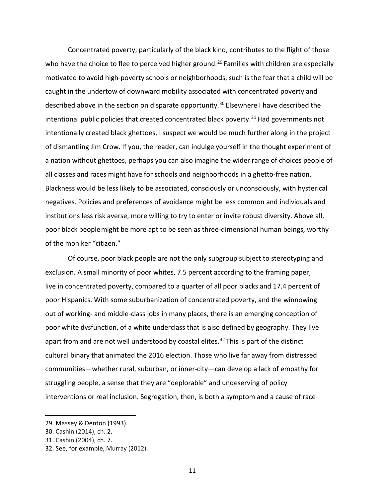Concentrated poverty, particularly of the black kind, contributes to the flight of those who have the choice to flee to perceived higher ground.<sup>[29](#page-12-0)</sup> Families with children are especially motivated to avoid high-poverty schools or neighborhoods, such is the fear that a child will be caught in the undertow of downward mobility associated with concentrated poverty and described above in the section on disparate opportunity.<sup>[30](#page-12-1)</sup> Elsewhere I have described the intentional public policies that created concentrated black poverty.<sup>[31](#page-12-2)</sup> Had governments not intentionally created black ghettoes, I suspect we would be much further along in the project of dismantling Jim Crow. If you, the reader, can indulge yourself in the thought experiment of a nation without ghettoes, perhaps you can also imagine the wider range of choices people of all classes and races might have for schools and neighborhoods in a ghetto-free nation. Blackness would be less likely to be associated, consciously or unconsciously, with hysterical negatives. Policies and preferences of avoidance might be less common and individuals and institutions less risk averse, more willing to try to enter or invite robust diversity. Above all, poor black peoplemight be more apt to be seen as three-dimensional human beings, worthy of the moniker "citizen."

Of course, poor black people are not the only subgroup subject to stereotyping and exclusion. A small minority of poor whites, 7.5 percent according to the framing paper, live in concentrated poverty, compared to a quarter of all poor blacks and 17.4 percent of poor Hispanics. With some suburbanization of concentrated poverty, and the winnowing out of working- and middle-class jobs in many places, there is an emerging conception of poor white dysfunction, of a white underclass that is also defined by geography. They live apart from and are not well understood by coastal elites.<sup>[32](#page-12-3)</sup> This is part of the distinct cultural binary that animated the 2016 election. Those who live far away from distressed communities—whether rural, suburban, or inner-city—can develop a lack of empathy for struggling people, a sense that they are "deplorable" and undeserving of policy interventions or real inclusion. Segregation, then, is both a symptom and a cause of race

<span id="page-12-0"></span><sup>29.</sup> Massey & Denton (1993).

<span id="page-12-1"></span><sup>30.</sup> Cashin (2014), ch. 2.

<span id="page-12-2"></span><sup>31.</sup> Cashin (2004), ch. 7.

<span id="page-12-3"></span><sup>32.</sup> See, for example, Murray (2012).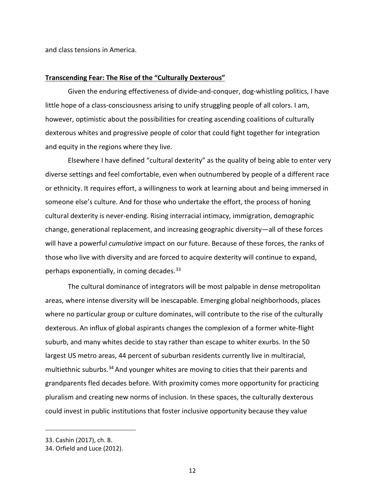and class tensions in America.

#### **Transcending Fear: The Rise of the "Culturally Dexterous"**

Given the enduring effectiveness of divide-and-conquer, dog-whistling politics, I have little hope of a class-consciousness arising to unify struggling people of all colors. I am, however, optimistic about the possibilities for creating ascending coalitions of culturally dexterous whites and progressive people of color that could fight together for integration and equity in the regions where they live.

Elsewhere I have defined "cultural dexterity" as the quality of being able to enter very diverse settings and feel comfortable, even when outnumbered by people of a different race or ethnicity. It requires effort, a willingness to work at learning about and being immersed in someone else's culture. And for those who undertake the effort, the process of honing cultural dexterity is never-ending. Rising interracial intimacy, immigration, demographic change, generational replacement, and increasing geographic diversity—all of these forces will have a powerful *cumulative* impact on our future. Because of these forces, the ranks of those who live with diversity and are forced to acquire dexterity will continue to expand, perhaps exponentially, in coming decades.  $33$ 

The cultural dominance of integrators will be most palpable in dense metropolitan areas, where intense diversity will be inescapable. Emerging global neighborhoods, places where no particular group or culture dominates, will contribute to the rise of the culturally dexterous. An influx of global aspirants changes the complexion of a former white-flight suburb, and many whites decide to stay rather than escape to whiter exurbs. In the 50 largest US metro areas, 44 percent of suburban residents currently live in multiracial, multiethnic suburbs.<sup>[34](#page-13-1)</sup> And younger whites are moving to cities that their parents and grandparents fled decades before. With proximity comes more opportunity for practicing pluralism and creating new norms of inclusion. In these spaces, the culturally dexterous could invest in public institutions that foster inclusive opportunity because they value

<span id="page-13-0"></span><sup>33.</sup> Cashin (2017), ch. 8.

<span id="page-13-1"></span><sup>34.</sup> Orfield and Luce (2012).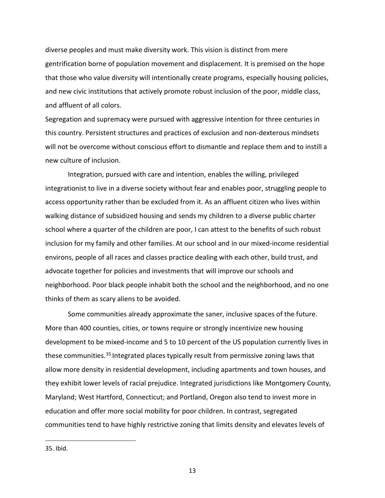diverse peoples and must make diversity work. This vision is distinct from mere gentrification borne of population movement and displacement. It is premised on the hope that those who value diversity will intentionally create programs, especially housing policies, and new civic institutions that actively promote robust inclusion of the poor, middle class, and affluent of all colors.

Segregation and supremacy were pursued with aggressive intention for three centuries in this country. Persistent structures and practices of exclusion and non-dexterous mindsets will not be overcome without conscious effort to dismantle and replace them and to instill a new culture of inclusion.

Integration, pursued with care and intention, enables the willing, privileged integrationist to live in a diverse society without fear and enables poor, struggling people to access opportunity rather than be excluded from it. As an affluent citizen who lives within walking distance of subsidized housing and sends my children to a diverse public charter school where a quarter of the children are poor, I can attest to the benefits of such robust inclusion for my family and other families. At our school and in our mixed-income residential environs, people of all races and classes practice dealing with each other, build trust, and advocate together for policies and investments that will improve our schools and neighborhood. Poor black people inhabit both the school and the neighborhood, and no one thinks of them as scary aliens to be avoided.

Some communities already approximate the saner, inclusive spaces of the future. More than 400 counties, cities, or towns require or strongly incentivize new housing development to be mixed-income and 5 to 10 percent of the US population currently lives in these communities.<sup>[35](#page-14-0)</sup> Integrated places typically result from permissive zoning laws that allow more density in residential development, including apartments and town houses, and they exhibit lower levels of racial prejudice. Integrated jurisdictions like Montgomery County, Maryland; West Hartford, Connecticut; and Portland, Oregon also tend to invest more in education and offer more social mobility for poor children. In contrast, segregated communities tend to have highly restrictive zoning that limits density and elevates levels of

<span id="page-14-0"></span><sup>35.</sup> Ibid.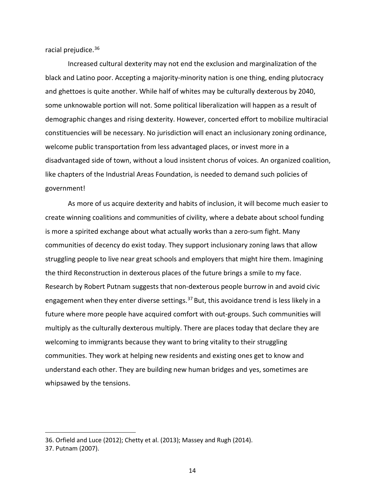racial prejudice.[36](#page-15-0)

Increased cultural dexterity may not end the exclusion and marginalization of the black and Latino poor. Accepting a majority-minority nation is one thing, ending plutocracy and ghettoes is quite another. While half of whites may be culturally dexterous by 2040, some unknowable portion will not. Some political liberalization will happen as a result of demographic changes and rising dexterity. However, concerted effort to mobilize multiracial constituencies will be necessary. No jurisdiction will enact an inclusionary zoning ordinance, welcome public transportation from less advantaged places, or invest more in a disadvantaged side of town, without a loud insistent chorus of voices. An organized coalition, like chapters of the Industrial Areas Foundation, is needed to demand such policies of government!

As more of us acquire dexterity and habits of inclusion, it will become much easier to create winning coalitions and communities of civility, where a debate about school funding is more a spirited exchange about what actually works than a zero-sum fight. Many communities of decency do exist today. They support inclusionary zoning laws that allow struggling people to live near great schools and employers that might hire them. Imagining the third Reconstruction in dexterous places of the future brings a smile to my face. Research by Robert Putnam suggests that non-dexterous people burrow in and avoid civic engagement when they enter diverse settings.<sup>[37](#page-15-1)</sup> But, this avoidance trend is less likely in a future where more people have acquired comfort with out-groups. Such communities will multiply as the culturally dexterous multiply. There are places today that declare they are welcoming to immigrants because they want to bring vitality to their struggling communities. They work at helping new residents and existing ones get to know and understand each other. They are building new human bridges and yes, sometimes are whipsawed by the tensions.

<span id="page-15-0"></span><sup>36.</sup> Orfield and Luce (2012); Chetty et al. (2013); Massey and Rugh (2014).

<span id="page-15-1"></span><sup>37.</sup> Putnam (2007).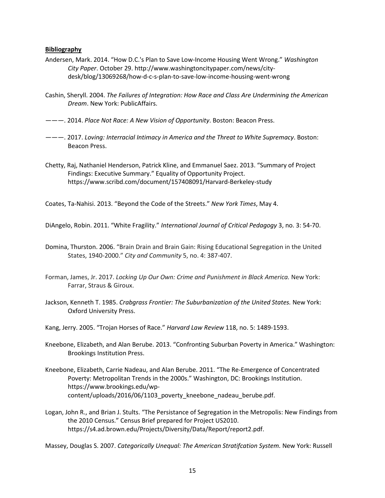#### **Bibliography**

- Andersen, Mark. 2014. "How D.C.'s Plan to Save Low-Income Housing Went Wrong." *Washington City Paper*. October 29. http://www.washingtoncitypaper.com/news/citydesk/blog/13069268/how-d-c-s-plan-to-save-low-income-housing-went-wrong
- Cashin, Sheryll. 2004. *The Failures of Integration: How Race and Class Are Undermining the American Dream*. New York: PublicAffairs.
- ———. 2014. *Place Not Race: A New Vision of Opportunity*. Boston: Beacon Press.
- ———. 2017. *Loving: Interracial Intimacy in America and the Threat to White Supremacy*. Boston: Beacon Press.
- Chetty, Raj, Nathaniel Henderson, Patrick Kline, and Emmanuel Saez. 2013. "Summary of Project Findings: Executive Summary." Equality of Opportunity Project. https://www.scribd.com/document/157408091/Harvard-Berkeley-study

Coates, Ta-Nahisi. 2013. "Beyond the Code of the Streets." *New York Times*, May 4.

DiAngelo, Robin. 2011. "White Fragility." *International Journal of Critical Pedagogy* 3, no. 3: 54-70.

- Domina, Thurston. 2006. "Brain Drain and Brain Gain: Rising Educational Segregation in the United States, 1940-2000." *City and Community* 5, no. 4: 387-407.
- Forman, James, Jr. 2017. *Locking Up Our Own: Crime and Punishment in Black America.* New York: Farrar, Straus & Giroux.
- Jackson, Kenneth T. 1985. *Crabgrass Frontier: The Suburbanization of the United States.* New York: Oxford University Press.
- Kang, Jerry. 2005. "Trojan Horses of Race." *Harvard Law Review* 118, no. 5: 1489-1593.
- Kneebone, Elizabeth, and Alan Berube. 2013. "Confronting Suburban Poverty in America." Washington: Brookings Institution Press.
- Kneebone, Elizabeth, Carrie Nadeau, and Alan Berube. 2011. "The Re-Emergence of Concentrated Poverty: Metropolitan Trends in the 2000s." Washington, DC: Brookings Institution. https://www.brookings.edu/wpcontent/uploads/2016/06/1103\_poverty\_kneebone\_nadeau\_berube.pdf.
- Logan, John R., and Brian J. Stults. "The Persistance of Segregation in the Metropolis: New Findings from the 2010 Census." Census Brief prepared for Project US2010. https://s4.ad.brown.edu/Projects/Diversity/Data/Report/report2.pdf.

Massey, Douglas S. 2007. *Categorically Unequal: The American Stratifcation System.* New York: Russell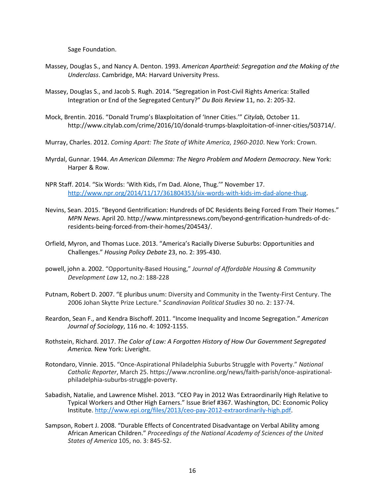Sage Foundation.

- Massey, Douglas S., and Nancy A. Denton. 1993. *American Apartheid: Segregation and the Making of the Underclass*. Cambridge, MA: Harvard University Press.
- Massey, Douglas S., and Jacob S. Rugh. 2014. "Segregation in Post-Civil Rights America: Stalled Integration or End of the Segregated Century?" *Du Bois Review* 11, no. 2: 205-32.
- Mock, Brentin. 2016. "Donald Trump's Blaxploitation of 'Inner Cities.'" *Citylab,* October 11. [http://www.citylab.com/crime/2016/10/donald-trumps-blaxploitation-of-inner-cities/503714/.](http://www.citylab.com/crime/2016/10/donald-trumps-blaxploitation-of-inner-cities/503714/)
- Murray, Charles. 2012. *Coming Apart: The State of White America*, *1960-2010*. New York: Crown.
- Myrdal, Gunnar. 1944. *An American Dilemma: The Negro Problem and Modern Democracy*. New York: Harper & Row.
- NPR Staff. 2014. "Six Words: 'With Kids, I'm Dad. Alone, Thug.'" November 17. [http://www.npr.org/2014/11/17/361804353/six-words-with-kids-im-dad-alone-thug.](http://www.npr.org/2014/11/17/361804353/six-words-with-kids-im-dad-alone-thug)
- Nevins, Sean. 2015. "Beyond Gentrification: Hundreds of DC Residents Being Forced From Their Homes." *MPN News*. April 20. http://www.mintpressnews.com/beyond-gentrification-hundreds-of-dcresidents-being-forced-from-their-homes/204543/.
- Orfield, Myron, and Thomas Luce. 2013. "America's Racially Diverse Suburbs: Opportunities and Challenges." *Housing Policy Debate* 23, no. 2: 395-430.
- powell, john a. 2002. "Opportunity-Based Housing," *Journal of Affordable Housing & Community Development Law* 12, no.2: 188-228
- Putnam, Robert D. 2007. "E pluribus unum: Diversity and Community in the Twenty-First Century. The 2006 Johan Skytte Prize Lecture." *Scandinavian Political Studies* 30 no. 2: 137-74.
- Reardon, Sean F., and Kendra Bischoff. 2011. "Income Inequality and Income Segregation." *American Journal of Sociology*, 116 no. 4: 1092-1155.
- Rothstein, Richard. 2017. *The Color of Law: A Forgotten History of How Our Government Segregated America.* New York: Liveright.
- Rotondaro, Vinnie. 2015. "Once-Aspirational Philadelphia Suburbs Struggle with Poverty." *National Catholic Reporter*, March 25. https://www.ncronline.org/news/faith-parish/once-aspirationalphiladelphia-suburbs-struggle-poverty.
- Sabadish, Natalie, and Lawrence Mishel. 2013. "CEO Pay in 2012 Was Extraordinarily High Relative to Typical Workers and Other High Earners." Issue Brief #367. Washington, DC: Economic Policy Institute. [http://www.epi.org/files/2013/ceo-pay-2012-extraordinarily-high.pdf.](http://www.epi.org/files/2013/ceo-pay-2012-extraordinarily-high.pdf)
- Sampson, Robert J. 2008. "Durable Effects of Concentrated Disadvantage on Verbal Ability among African American Children." *Proceedings of the National Academy of Sciences of the United States of America* 105, no. 3: 845-52.